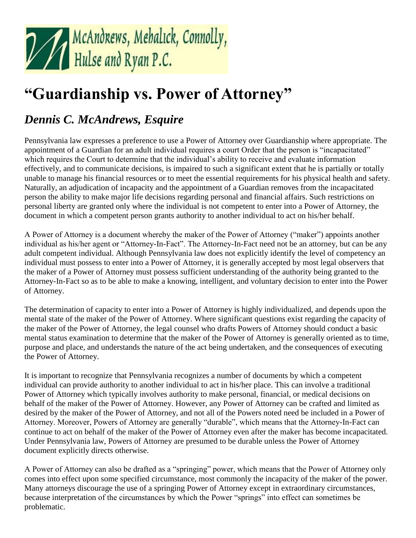

## **"Guardianship vs. Power of Attorney"**

## *Dennis C. McAndrews, Esquire*

Pennsylvania law expresses a preference to use a Power of Attorney over Guardianship where appropriate. The appointment of a Guardian for an adult individual requires a court Order that the person is "incapacitated" which requires the Court to determine that the individual's ability to receive and evaluate information effectively, and to communicate decisions, is impaired to such a significant extent that he is partially or totally unable to manage his financial resources or to meet the essential requirements for his physical health and safety. Naturally, an adjudication of incapacity and the appointment of a Guardian removes from the incapacitated person the ability to make major life decisions regarding personal and financial affairs. Such restrictions on personal liberty are granted only where the individual is not competent to enter into a Power of Attorney, the document in which a competent person grants authority to another individual to act on his/her behalf.

A Power of Attorney is a document whereby the maker of the Power of Attorney ("maker") appoints another individual as his/her agent or "Attorney-In-Fact". The Attorney-In-Fact need not be an attorney, but can be any adult competent individual. Although Pennsylvania law does not explicitly identify the level of competency an individual must possess to enter into a Power of Attorney, it is generally accepted by most legal observers that the maker of a Power of Attorney must possess sufficient understanding of the authority being granted to the Attorney-In-Fact so as to be able to make a knowing, intelligent, and voluntary decision to enter into the Power of Attorney.

The determination of capacity to enter into a Power of Attorney is highly individualized, and depends upon the mental state of the maker of the Power of Attorney. Where significant questions exist regarding the capacity of the maker of the Power of Attorney, the legal counsel who drafts Powers of Attorney should conduct a basic mental status examination to determine that the maker of the Power of Attorney is generally oriented as to time, purpose and place, and understands the nature of the act being undertaken, and the consequences of executing the Power of Attorney.

It is important to recognize that Pennsylvania recognizes a number of documents by which a competent individual can provide authority to another individual to act in his/her place. This can involve a traditional Power of Attorney which typically involves authority to make personal, financial, or medical decisions on behalf of the maker of the Power of Attorney. However, any Power of Attorney can be crafted and limited as desired by the maker of the Power of Attorney, and not all of the Powers noted need be included in a Power of Attorney. Moreover, Powers of Attorney are generally "durable", which means that the Attorney-In-Fact can continue to act on behalf of the maker of the Power of Attorney even after the maker has become incapacitated. Under Pennsylvania law, Powers of Attorney are presumed to be durable unless the Power of Attorney document explicitly directs otherwise.

A Power of Attorney can also be drafted as a "springing" power, which means that the Power of Attorney only comes into effect upon some specified circumstance, most commonly the incapacity of the maker of the power. Many attorneys discourage the use of a springing Power of Attorney except in extraordinary circumstances, because interpretation of the circumstances by which the Power "springs" into effect can sometimes be problematic.